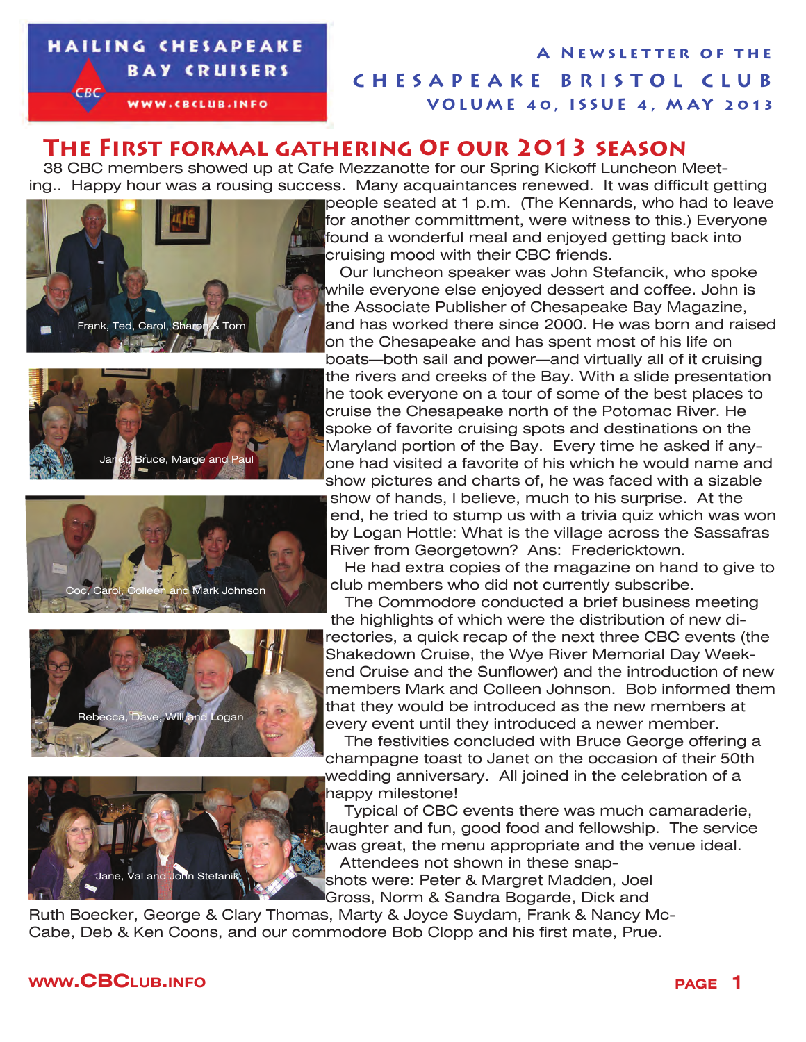## **HAILING CHESAPEAKE BAY CRUISERS**

свс

**CHESAPEAKE BRISTOL CLUB VOLUME 40, ISSUE 4, M AY 2013** WWW.CBCLUB.INFO

## **The First formal gathering 0f our 2013 season**

38 CBC members showed up at Cafe Mezzanotte for our Spring Kickoff Luncheon Meeting.. Happy hour was a rousing success. Many acquaintances renewed. It was difficult getting











people seated at 1 p.m. (The Kennards, who had to leave for another committment, were witness to this.) Everyone found a wonderful meal and enjoyed getting back into cruising mood with their CBC friends.

**A Newsletter of the**

Our luncheon speaker was John Stefancik, who spoke while everyone else enjoyed dessert and coffee. John is the Associate Publisher of Chesapeake Bay Magazine, and has worked there since 2000. He was born and raised on the Chesapeake and has spent most of his life on

boats—both sail and power—and virtually all of it cruising the rivers and creeks of the Bay. With a slide presentation he took everyone on a tour of some of the best places to cruise the Chesapeake north of the Potomac River. He spoke of favorite cruising spots and destinations on the Maryland portion of the Bay. Every time he asked if anyone had visited a favorite of his which he would name and show pictures and charts of, he was faced with a sizable show of hands, I believe, much to his surprise. At the end, he tried to stump us with a trivia quiz which was won by Logan Hottle: What is the village across the Sassafras River from Georgetown? Ans: Fredericktown.

He had extra copies of the magazine on hand to give to club members who did not currently subscribe.

The Commodore conducted a brief business meeting the highlights of which were the distribution of new directories, a quick recap of the next three CBC events (the Shakedown Cruise, the Wye River Memorial Day Weekend Cruise and the Sunflower) and the introduction of new members Mark and Colleen Johnson. Bob informed them that they would be introduced as the new members at every event until they introduced a newer member.

 The festivities concluded with Bruce George offering a champagne toast to Janet on the occasion of their 50th wedding anniversary. All joined in the celebration of a happy milestone!

 Typical of CBC events there was much camaraderie, laughter and fun, good food and fellowship. The service **was great, the menu appropriate and the venue ideal.** Attendees not shown in these snap-

shots were: Peter & Margret Madden, Joel Gross, Norm & Sandra Bogarde, Dick and

Ruth Boecker, George & Clary Thomas, Marty & Joyce Suydam, Frank & Nancy Mc-Cabe, Deb & Ken Coons, and our commodore Bob Clopp and his first mate, Prue.

## **www.CBClub.info page 1**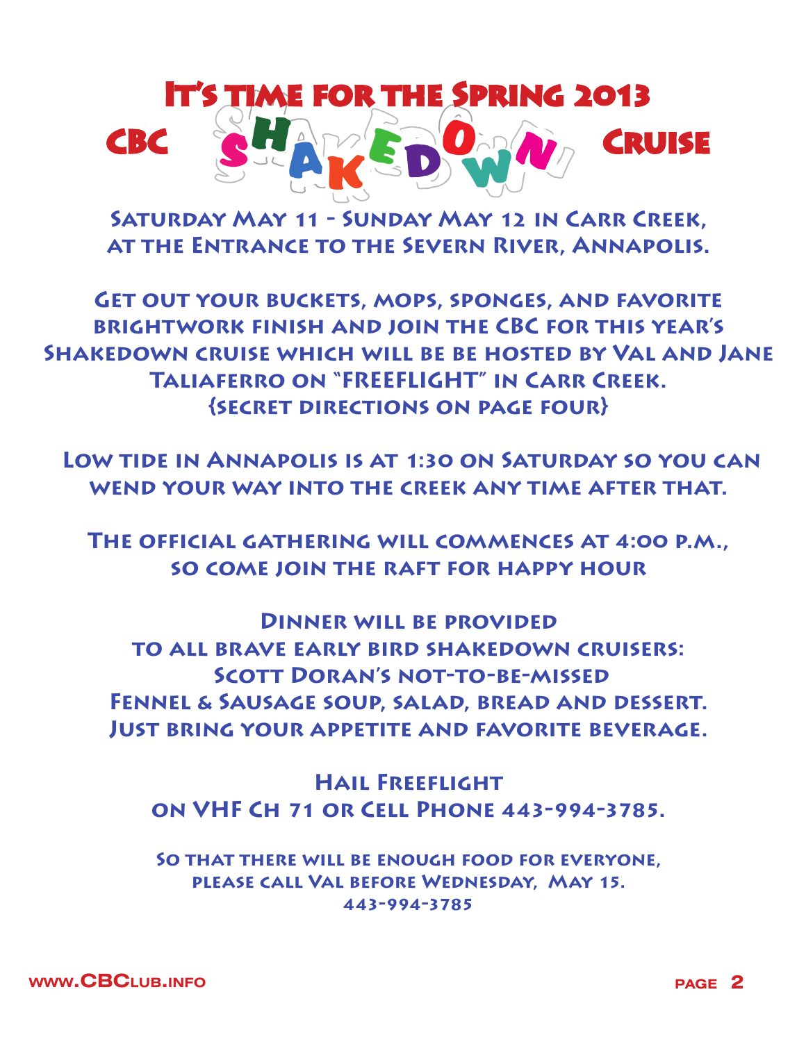

**Saturday May 11 - Sunday May 12 in Carr Creek, at the Entrance to the Severn River, Annapolis.**

**Get out your buckets, mops, sponges, and favorite brightwork finish and join the CBC for this year's Shakedown cruise which will be be hosted by Val and Jane Taliaferro on "FREEFLIGHT" in Carr Creek. {secret directions on page four}**

 **Low tide in Annapolis is at 1:30 on Saturday so you can wend your way into the creek any time after that.**

**The official gathering will commences at 4:00 p.m., so come join the raft for happy hour** 

**Dinner will be provided to all brave early bird shakedown cruisers: Scott Doran's not-to-be-missed Fennel & Sausage soup, salad, bread and dessert. Just bring your appetite and favorite beverage.** 

**Hail Freeflight on VHF Ch 71 or Cell Phone 443-994-3785.** 

**So that there will be enough food for everyone, please call Val before Wednesday, May 15. 443-994-3785**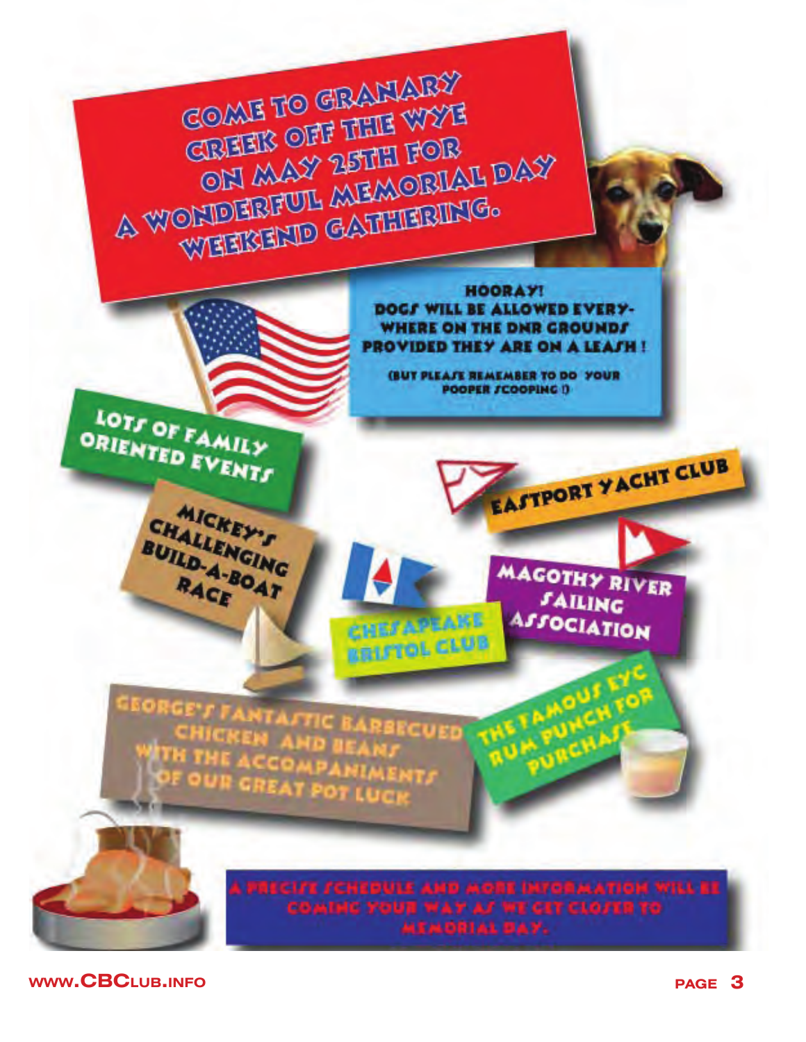

**www.CBClub.info page 3**